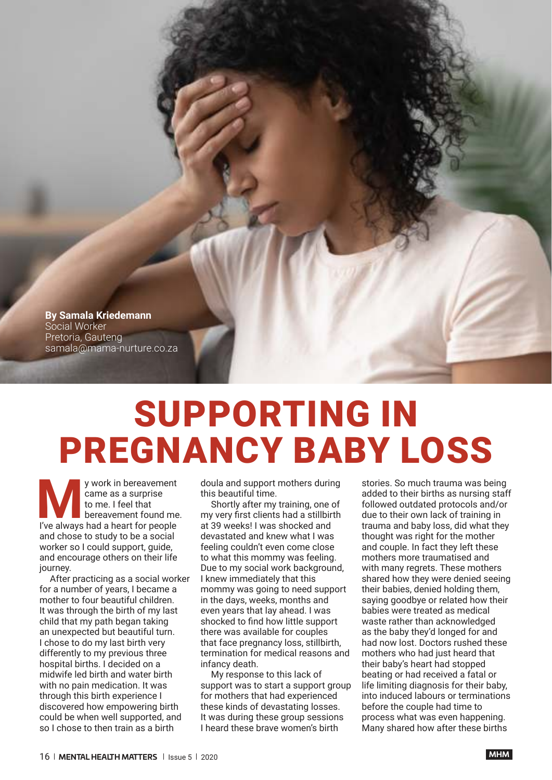**By Samala Kriedemann** Social Worker Pretoria, Gauteng samala@mama-nurture.co.za

## SUPPORTING IN PREGNANCY BABY LOSS

**MA**<br>
I've always had a heart for people<br>
I've always had a heart for people y work in bereavement came as a surprise to me. I feel that bereavement found me. and chose to study to be a social worker so I could support, guide, and encourage others on their life journey.

After practicing as a social worker for a number of years, I became a mother to four beautiful children. It was through the birth of my last child that my path began taking an unexpected but beautiful turn. I chose to do my last birth very differently to my previous three hospital births. I decided on a midwife led birth and water birth with no pain medication. It was through this birth experience I discovered how empowering birth could be when well supported, and so I chose to then train as a birth

doula and support mothers during this beautiful time.

Shortly after my training, one of my very first clients had a stillbirth at 39 weeks! I was shocked and devastated and knew what I was feeling couldn't even come close to what this mommy was feeling. Due to my social work background, I knew immediately that this mommy was going to need support in the days, weeks, months and even years that lay ahead. I was shocked to find how little support there was available for couples that face pregnancy loss, stillbirth, termination for medical reasons and infancy death.

My response to this lack of support was to start a support group for mothers that had experienced these kinds of devastating losses. It was during these group sessions I heard these brave women's birth

stories. So much trauma was being added to their births as nursing staff followed outdated protocols and/or due to their own lack of training in trauma and baby loss, did what they thought was right for the mother and couple. In fact they left these mothers more traumatised and with many regrets. These mothers shared how they were denied seeing their babies, denied holding them, saying goodbye or related how their babies were treated as medical waste rather than acknowledged as the baby they'd longed for and had now lost. Doctors rushed these mothers who had just heard that their baby's heart had stopped beating or had received a fatal or life limiting diagnosis for their baby, into induced labours or terminations before the couple had time to process what was even happening. Many shared how after these births